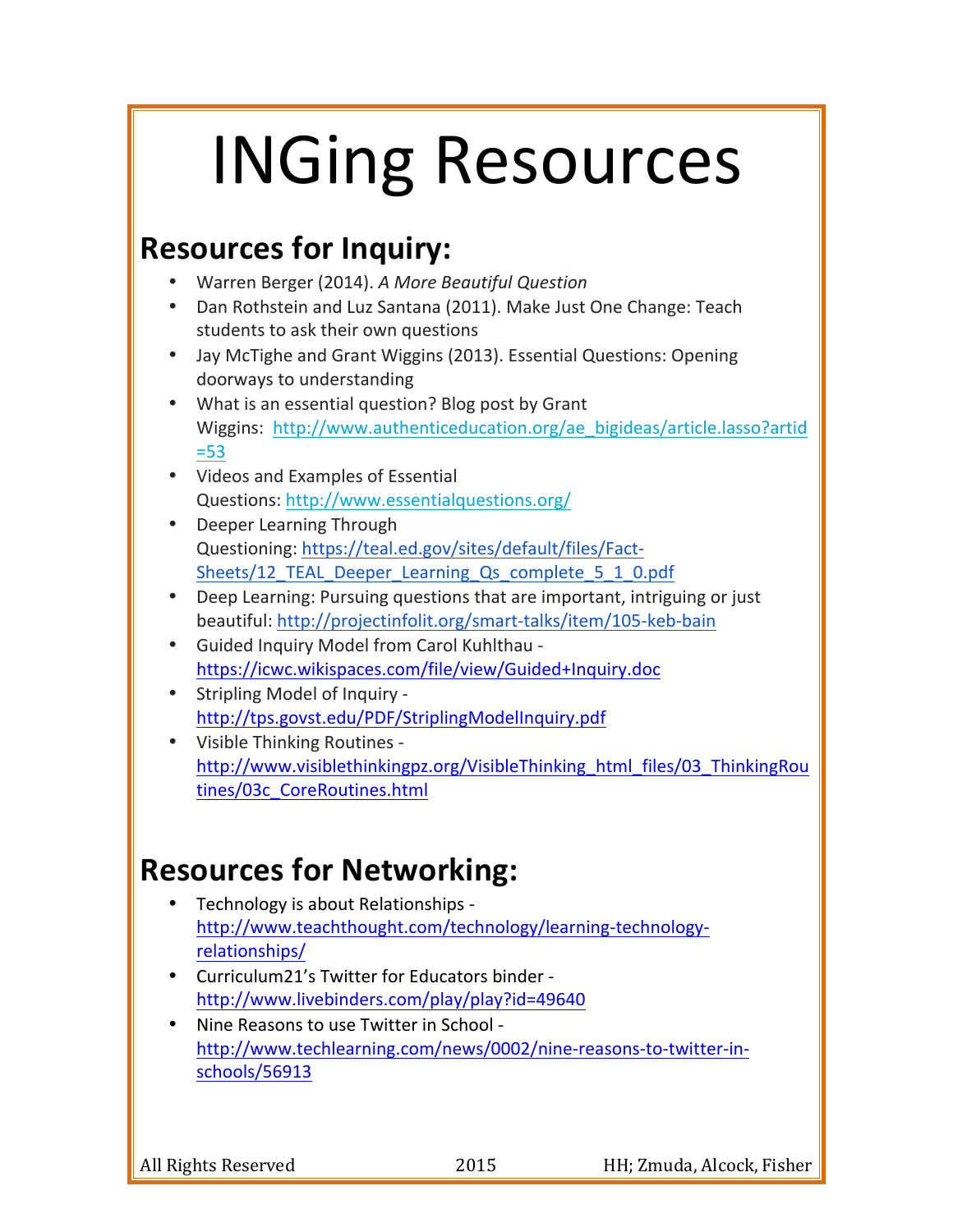# **INGing Resources**

#### **Resources for Inquiry:**

- Warren Berger (2014). *A More Beautiful Question*
- Dan Rothstein and Luz Santana (2011). Make Just One Change: Teach students to ask their own questions
- Jay McTighe and Grant Wiggins (2013). Essential Questions: Opening doorways to understanding
- What is an essential question? Blog post by Grant Wiggins: http://www.authenticeducation.org/ae\_bigideas/article.lasso?artid =53
- Videos and Examples of Essential Questions: http://www.essentialquestions.org/
- Deeper Learning Through Questioning: https://teal.ed.gov/sites/default/files/Fact-Sheets/12\_TEAL\_Deeper\_Learning\_Qs\_complete\_5\_1\_0.pdf
- Deep Learning: Pursuing questions that are important, intriguing or just beautiful: http://projectinfolit.org/smart-talks/item/105-keb-bain
- Guided Inquiry Model from Carol Kuhlthau https://icwc.wikispaces.com/file/view/Guided+Inquiry.doc
- Stripling Model of Inquiry http://tps.govst.edu/PDF/StriplingModelInquiry.pdf
- Visible Thinking Routines http://www.visiblethinkingpz.org/VisibleThinking\_html\_files/03\_ThinkingRou tines/03c\_CoreRoutines.html

### **Resources for Networking:**

- Technology is about Relationships http://www.teachthought.com/technology/learning-technologyrelationships/
- Curriculum21's Twitter for Educators binder http://www.livebinders.com/play/play?id=49640
- Nine Reasons to use Twitter in School http://www.techlearning.com/news/0002/nine-reasons-to-twitter-inschools/56913